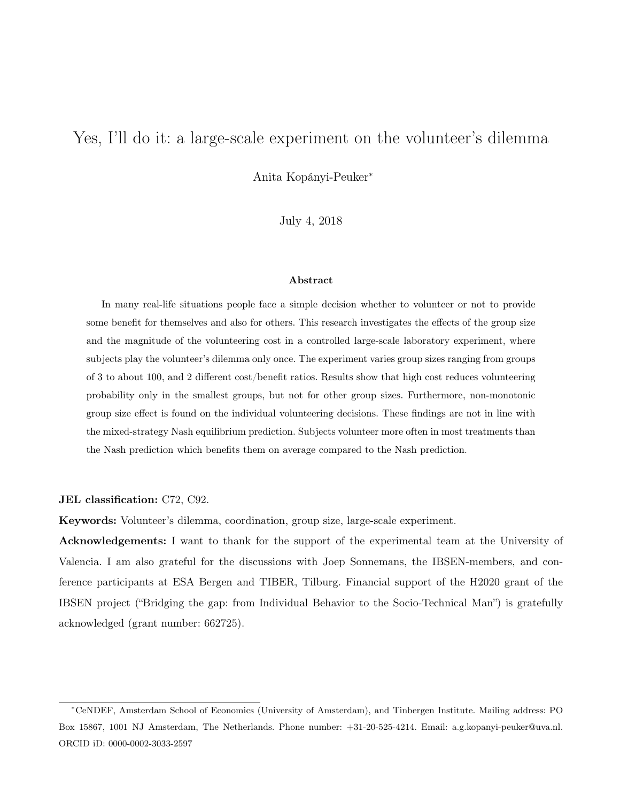# Yes, I'll do it: a large-scale experiment on the volunteer's dilemma

Anita Kopányi-Peuker<sup>∗</sup>

July 4, 2018

#### Abstract

In many real-life situations people face a simple decision whether to volunteer or not to provide some benefit for themselves and also for others. This research investigates the effects of the group size and the magnitude of the volunteering cost in a controlled large-scale laboratory experiment, where subjects play the volunteer's dilemma only once. The experiment varies group sizes ranging from groups of 3 to about 100, and 2 different cost/benefit ratios. Results show that high cost reduces volunteering probability only in the smallest groups, but not for other group sizes. Furthermore, non-monotonic group size effect is found on the individual volunteering decisions. These findings are not in line with the mixed-strategy Nash equilibrium prediction. Subjects volunteer more often in most treatments than the Nash prediction which benefits them on average compared to the Nash prediction.

## JEL classification: C72, C92.

Keywords: Volunteer's dilemma, coordination, group size, large-scale experiment.

Acknowledgements: I want to thank for the support of the experimental team at the University of Valencia. I am also grateful for the discussions with Joep Sonnemans, the IBSEN-members, and conference participants at ESA Bergen and TIBER, Tilburg. Financial support of the H2020 grant of the IBSEN project ("Bridging the gap: from Individual Behavior to the Socio-Technical Man") is gratefully acknowledged (grant number: 662725).

<sup>∗</sup>CeNDEF, Amsterdam School of Economics (University of Amsterdam), and Tinbergen Institute. Mailing address: PO Box 15867, 1001 NJ Amsterdam, The Netherlands. Phone number: +31-20-525-4214. Email: a.g.kopanyi-peuker@uva.nl. ORCID iD: 0000-0002-3033-2597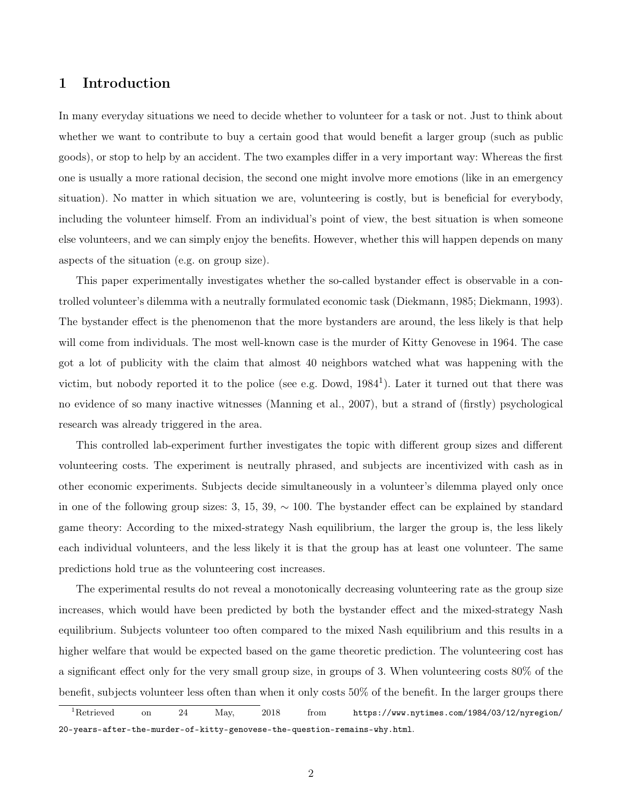## 1 Introduction

In many everyday situations we need to decide whether to volunteer for a task or not. Just to think about whether we want to contribute to buy a certain good that would benefit a larger group (such as public goods), or stop to help by an accident. The two examples differ in a very important way: Whereas the first one is usually a more rational decision, the second one might involve more emotions (like in an emergency situation). No matter in which situation we are, volunteering is costly, but is beneficial for everybody, including the volunteer himself. From an individual's point of view, the best situation is when someone else volunteers, and we can simply enjoy the benefits. However, whether this will happen depends on many aspects of the situation (e.g. on group size).

This paper experimentally investigates whether the so-called bystander effect is observable in a controlled volunteer's dilemma with a neutrally formulated economic task (Diekmann, 1985; Diekmann, 1993). The bystander effect is the phenomenon that the more bystanders are around, the less likely is that help will come from individuals. The most well-known case is the murder of Kitty Genovese in 1964. The case got a lot of publicity with the claim that almost 40 neighbors watched what was happening with the victim, but nobody reported it to the police (see e.g. Dowd, 1984<sup>1</sup>). Later it turned out that there was no evidence of so many inactive witnesses (Manning et al., 2007), but a strand of (firstly) psychological research was already triggered in the area.

This controlled lab-experiment further investigates the topic with different group sizes and different volunteering costs. The experiment is neutrally phrased, and subjects are incentivized with cash as in other economic experiments. Subjects decide simultaneously in a volunteer's dilemma played only once in one of the following group sizes: 3, 15, 39, ∼ 100. The bystander effect can be explained by standard game theory: According to the mixed-strategy Nash equilibrium, the larger the group is, the less likely each individual volunteers, and the less likely it is that the group has at least one volunteer. The same predictions hold true as the volunteering cost increases.

The experimental results do not reveal a monotonically decreasing volunteering rate as the group size increases, which would have been predicted by both the bystander effect and the mixed-strategy Nash equilibrium. Subjects volunteer too often compared to the mixed Nash equilibrium and this results in a higher welfare that would be expected based on the game theoretic prediction. The volunteering cost has a significant effect only for the very small group size, in groups of 3. When volunteering costs 80% of the benefit, subjects volunteer less often than when it only costs 50% of the benefit. In the larger groups there

<sup>&</sup>lt;sup>1</sup>Retrieved on 24 May, 2018 from https://www.nytimes.com/1984/03/12/nyregion/ 20-years-after-the-murder-of-kitty-genovese-the-question-remains-why.html.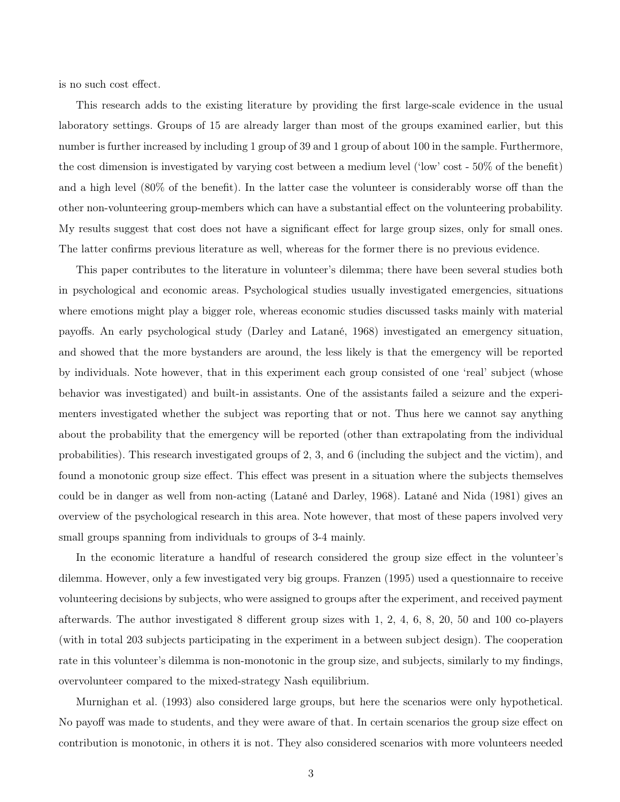is no such cost effect.

This research adds to the existing literature by providing the first large-scale evidence in the usual laboratory settings. Groups of 15 are already larger than most of the groups examined earlier, but this number is further increased by including 1 group of 39 and 1 group of about 100 in the sample. Furthermore, the cost dimension is investigated by varying cost between a medium level ('low' cost - 50% of the benefit) and a high level (80% of the benefit). In the latter case the volunteer is considerably worse off than the other non-volunteering group-members which can have a substantial effect on the volunteering probability. My results suggest that cost does not have a significant effect for large group sizes, only for small ones. The latter confirms previous literature as well, whereas for the former there is no previous evidence.

This paper contributes to the literature in volunteer's dilemma; there have been several studies both in psychological and economic areas. Psychological studies usually investigated emergencies, situations where emotions might play a bigger role, whereas economic studies discussed tasks mainly with material payoffs. An early psychological study (Darley and Latané, 1968) investigated an emergency situation, and showed that the more bystanders are around, the less likely is that the emergency will be reported by individuals. Note however, that in this experiment each group consisted of one 'real' subject (whose behavior was investigated) and built-in assistants. One of the assistants failed a seizure and the experimenters investigated whether the subject was reporting that or not. Thus here we cannot say anything about the probability that the emergency will be reported (other than extrapolating from the individual probabilities). This research investigated groups of 2, 3, and 6 (including the subject and the victim), and found a monotonic group size effect. This effect was present in a situation where the subjects themselves could be in danger as well from non-acting (Latané and Darley, 1968). Latané and Nida (1981) gives an overview of the psychological research in this area. Note however, that most of these papers involved very small groups spanning from individuals to groups of 3-4 mainly.

In the economic literature a handful of research considered the group size effect in the volunteer's dilemma. However, only a few investigated very big groups. Franzen (1995) used a questionnaire to receive volunteering decisions by subjects, who were assigned to groups after the experiment, and received payment afterwards. The author investigated 8 different group sizes with 1, 2, 4, 6, 8, 20, 50 and 100 co-players (with in total 203 subjects participating in the experiment in a between subject design). The cooperation rate in this volunteer's dilemma is non-monotonic in the group size, and subjects, similarly to my findings, overvolunteer compared to the mixed-strategy Nash equilibrium.

Murnighan et al. (1993) also considered large groups, but here the scenarios were only hypothetical. No payoff was made to students, and they were aware of that. In certain scenarios the group size effect on contribution is monotonic, in others it is not. They also considered scenarios with more volunteers needed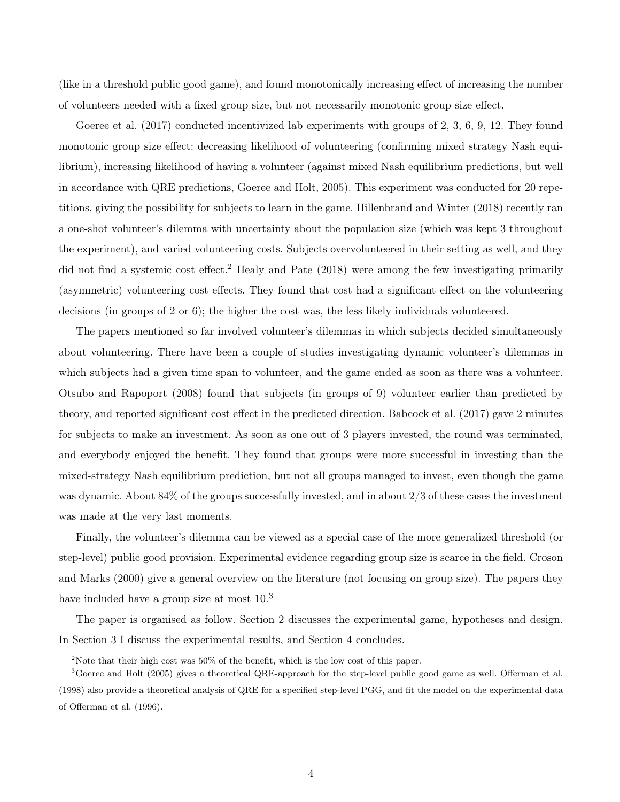(like in a threshold public good game), and found monotonically increasing effect of increasing the number of volunteers needed with a fixed group size, but not necessarily monotonic group size effect.

Goeree et al. (2017) conducted incentivized lab experiments with groups of 2, 3, 6, 9, 12. They found monotonic group size effect: decreasing likelihood of volunteering (confirming mixed strategy Nash equilibrium), increasing likelihood of having a volunteer (against mixed Nash equilibrium predictions, but well in accordance with QRE predictions, Goeree and Holt, 2005). This experiment was conducted for 20 repetitions, giving the possibility for subjects to learn in the game. Hillenbrand and Winter (2018) recently ran a one-shot volunteer's dilemma with uncertainty about the population size (which was kept 3 throughout the experiment), and varied volunteering costs. Subjects overvolunteered in their setting as well, and they did not find a systemic cost effect.<sup>2</sup> Healy and Pate  $(2018)$  were among the few investigating primarily (asymmetric) volunteering cost effects. They found that cost had a significant effect on the volunteering decisions (in groups of 2 or 6); the higher the cost was, the less likely individuals volunteered.

The papers mentioned so far involved volunteer's dilemmas in which subjects decided simultaneously about volunteering. There have been a couple of studies investigating dynamic volunteer's dilemmas in which subjects had a given time span to volunteer, and the game ended as soon as there was a volunteer. Otsubo and Rapoport (2008) found that subjects (in groups of 9) volunteer earlier than predicted by theory, and reported significant cost effect in the predicted direction. Babcock et al. (2017) gave 2 minutes for subjects to make an investment. As soon as one out of 3 players invested, the round was terminated, and everybody enjoyed the benefit. They found that groups were more successful in investing than the mixed-strategy Nash equilibrium prediction, but not all groups managed to invest, even though the game was dynamic. About 84% of the groups successfully invested, and in about 2/3 of these cases the investment was made at the very last moments.

Finally, the volunteer's dilemma can be viewed as a special case of the more generalized threshold (or step-level) public good provision. Experimental evidence regarding group size is scarce in the field. Croson and Marks (2000) give a general overview on the literature (not focusing on group size). The papers they have included have a group size at most  $10^{3}$ 

The paper is organised as follow. Section 2 discusses the experimental game, hypotheses and design. In Section 3 I discuss the experimental results, and Section 4 concludes.

<sup>&</sup>lt;sup>2</sup>Note that their high cost was  $50\%$  of the benefit, which is the low cost of this paper.

<sup>3</sup>Goeree and Holt (2005) gives a theoretical QRE-approach for the step-level public good game as well. Offerman et al. (1998) also provide a theoretical analysis of QRE for a specified step-level PGG, and fit the model on the experimental data of Offerman et al. (1996).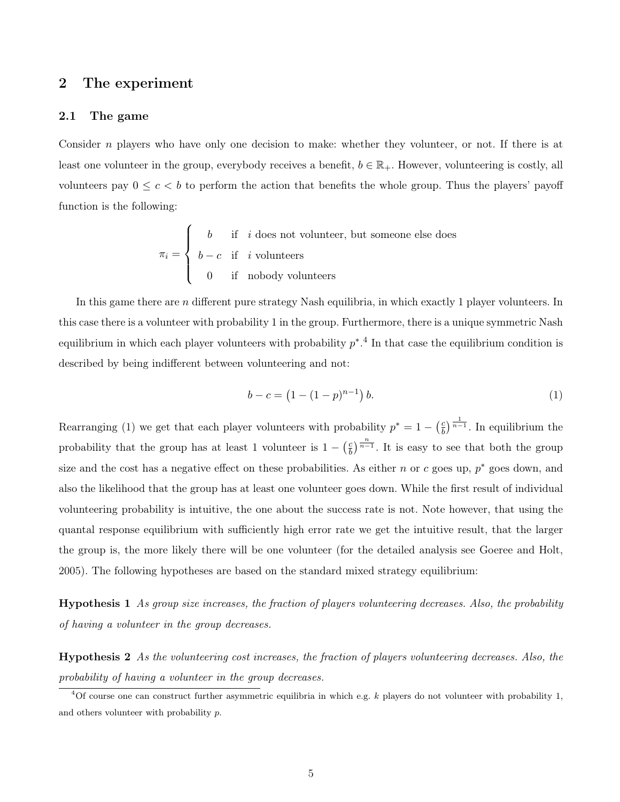## 2 The experiment

### 2.1 The game

Consider n players who have only one decision to make: whether they volunteer, or not. If there is at least one volunteer in the group, everybody receives a benefit,  $b \in \mathbb{R}_+$ . However, volunteering is costly, all volunteers pay  $0 \leq c < b$  to perform the action that benefits the whole group. Thus the players' payoff function is the following:

$$
\pi_i = \begin{cases}\n\begin{aligned}\nb & \text{if } i \text{ does not volunter, but someone else does} \\
b - c & \text{if } i \text{ volunters} \\
0 & \text{if nobody volunters}\n\end{aligned}\n\end{cases}
$$

In this game there are n different pure strategy Nash equilibria, in which exactly 1 player volunteers. In this case there is a volunteer with probability 1 in the group. Furthermore, there is a unique symmetric Nash equilibrium in which each player volunteers with probability  $p^*$ .<sup>4</sup> In that case the equilibrium condition is described by being indifferent between volunteering and not:

$$
b - c = \left(1 - (1 - p)^{n-1}\right)b.\tag{1}
$$

Rearranging (1) we get that each player volunteers with probability  $p^* = 1 - \left(\frac{c}{b}\right)^2$  $\frac{c}{b}$   $\frac{1}{n-1}$ . In equilibrium the probability that the group has at least 1 volunteer is  $1 - \left(\frac{c}{b}\right)^2$  $\frac{c}{b}$   $\frac{n}{n-1}$ . It is easy to see that both the group size and the cost has a negative effect on these probabilities. As either n or c goes up,  $p^*$  goes down, and also the likelihood that the group has at least one volunteer goes down. While the first result of individual volunteering probability is intuitive, the one about the success rate is not. Note however, that using the quantal response equilibrium with sufficiently high error rate we get the intuitive result, that the larger the group is, the more likely there will be one volunteer (for the detailed analysis see Goeree and Holt, 2005). The following hypotheses are based on the standard mixed strategy equilibrium:

Hypothesis 1 As group size increases, the fraction of players volunteering decreases. Also, the probability of having a volunteer in the group decreases.

Hypothesis 2 As the volunteering cost increases, the fraction of players volunteering decreases. Also, the probability of having a volunteer in the group decreases.

<sup>&</sup>lt;sup>4</sup>Of course one can construct further asymmetric equilibria in which e.g.  $k$  players do not volunteer with probability 1, and others volunteer with probability p.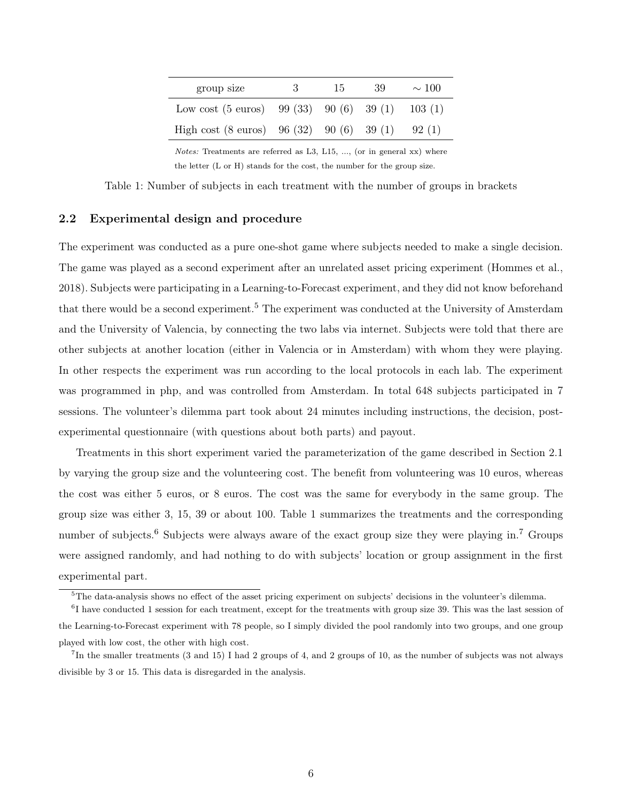| group size                                                                                                 | 3 | 15 | -39 | $\sim$ 100 |
|------------------------------------------------------------------------------------------------------------|---|----|-----|------------|
| Low cost $(5 \text{ euros})$ 99 $(33)$ 90 $(6)$ 39 $(1)$ 103 $(1)$                                         |   |    |     |            |
| High cost $(8 \text{ euros}) \quad 96 \quad (32) \quad 90 \quad (6) \quad 39 \quad (1) \quad 92 \quad (1)$ |   |    |     |            |

Notes: Treatments are referred as L3, L15, ..., (or in general xx) where the letter (L or H) stands for the cost, the number for the group size.

Table 1: Number of subjects in each treatment with the number of groups in brackets

## 2.2 Experimental design and procedure

The experiment was conducted as a pure one-shot game where subjects needed to make a single decision. The game was played as a second experiment after an unrelated asset pricing experiment (Hommes et al., 2018). Subjects were participating in a Learning-to-Forecast experiment, and they did not know beforehand that there would be a second experiment.<sup>5</sup> The experiment was conducted at the University of Amsterdam and the University of Valencia, by connecting the two labs via internet. Subjects were told that there are other subjects at another location (either in Valencia or in Amsterdam) with whom they were playing. In other respects the experiment was run according to the local protocols in each lab. The experiment was programmed in php, and was controlled from Amsterdam. In total 648 subjects participated in 7 sessions. The volunteer's dilemma part took about 24 minutes including instructions, the decision, postexperimental questionnaire (with questions about both parts) and payout.

Treatments in this short experiment varied the parameterization of the game described in Section 2.1 by varying the group size and the volunteering cost. The benefit from volunteering was 10 euros, whereas the cost was either 5 euros, or 8 euros. The cost was the same for everybody in the same group. The group size was either 3, 15, 39 or about 100. Table 1 summarizes the treatments and the corresponding number of subjects.<sup>6</sup> Subjects were always aware of the exact group size they were playing in.<sup>7</sup> Groups were assigned randomly, and had nothing to do with subjects' location or group assignment in the first experimental part.

<sup>&</sup>lt;sup>5</sup>The data-analysis shows no effect of the asset pricing experiment on subjects' decisions in the volunteer's dilemma.

<sup>&</sup>lt;sup>6</sup>I have conducted 1 session for each treatment, except for the treatments with group size 39. This was the last session of the Learning-to-Forecast experiment with 78 people, so I simply divided the pool randomly into two groups, and one group played with low cost, the other with high cost.

<sup>7</sup> In the smaller treatments (3 and 15) I had 2 groups of 4, and 2 groups of 10, as the number of subjects was not always divisible by 3 or 15. This data is disregarded in the analysis.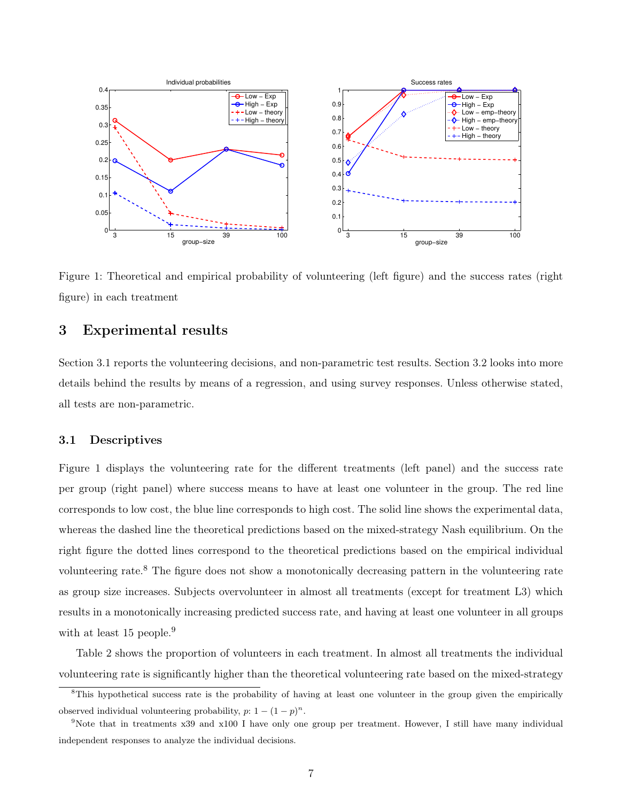

Figure 1: Theoretical and empirical probability of volunteering (left figure) and the success rates (right figure) in each treatment

## 3 Experimental results

Section 3.1 reports the volunteering decisions, and non-parametric test results. Section 3.2 looks into more details behind the results by means of a regression, and using survey responses. Unless otherwise stated, all tests are non-parametric.

## 3.1 Descriptives

Figure 1 displays the volunteering rate for the different treatments (left panel) and the success rate per group (right panel) where success means to have at least one volunteer in the group. The red line corresponds to low cost, the blue line corresponds to high cost. The solid line shows the experimental data, whereas the dashed line the theoretical predictions based on the mixed-strategy Nash equilibrium. On the right figure the dotted lines correspond to the theoretical predictions based on the empirical individual volunteering rate.<sup>8</sup> The figure does not show a monotonically decreasing pattern in the volunteering rate as group size increases. Subjects overvolunteer in almost all treatments (except for treatment L3) which results in a monotonically increasing predicted success rate, and having at least one volunteer in all groups with at least 15 people.<sup>9</sup>

Table 2 shows the proportion of volunteers in each treatment. In almost all treatments the individual volunteering rate is significantly higher than the theoretical volunteering rate based on the mixed-strategy

<sup>&</sup>lt;sup>8</sup>This hypothetical success rate is the probability of having at least one volunteer in the group given the empirically observed individual volunteering probability,  $p: 1 - (1 - p)^n$ .

<sup>&</sup>lt;sup>9</sup>Note that in treatments x39 and x100 I have only one group per treatment. However, I still have many individual independent responses to analyze the individual decisions.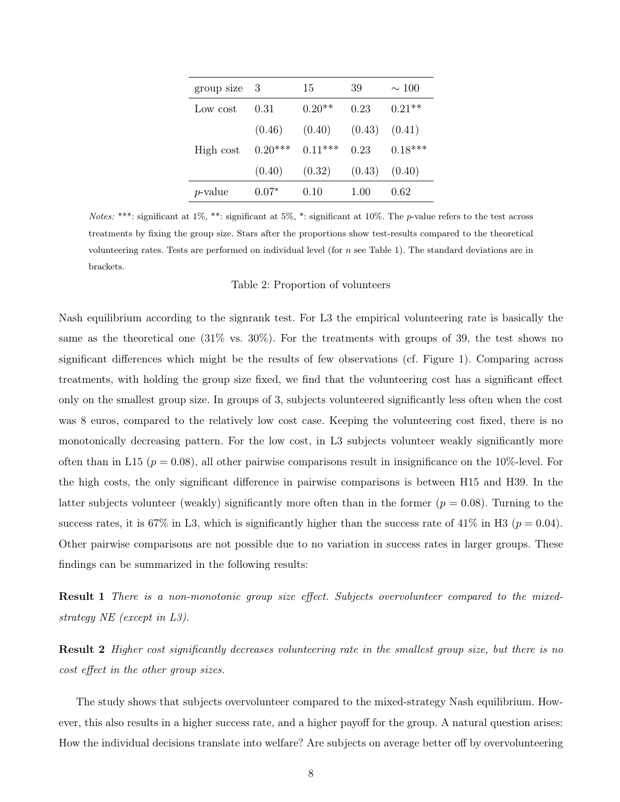| group size      | 3         | 15        | 39     | $\sim$ 100 |
|-----------------|-----------|-----------|--------|------------|
| Low cost        | 0.31      | $0.20**$  | 0.23   | $0.21**$   |
|                 | (0.46)    | (0.40)    | (0.43) | (0.41)     |
| High cost       | $0.20***$ | $0.11***$ | 0.23   | $0.18***$  |
|                 | (0.40)    | (0.32)    | (0.43) | (0.40)     |
| <i>p</i> -value | $0.07*$   | 0.10      | 1.00   | 0.62       |

*Notes:* \*\*\*: significant at 1%, \*\*: significant at 5%, \*: significant at 10%. The p-value refers to the test across treatments by fixing the group size. Stars after the proportions show test-results compared to the theoretical volunteering rates. Tests are performed on individual level (for  $n$  see Table 1). The standard deviations are in brackets.

#### Table 2: Proportion of volunteers

Nash equilibrium according to the signrank test. For L3 the empirical volunteering rate is basically the same as the theoretical one (31% vs. 30%). For the treatments with groups of 39, the test shows no significant differences which might be the results of few observations (cf. Figure 1). Comparing across treatments, with holding the group size fixed, we find that the volunteering cost has a significant effect only on the smallest group size. In groups of 3, subjects volunteered significantly less often when the cost was 8 euros, compared to the relatively low cost case. Keeping the volunteering cost fixed, there is no monotonically decreasing pattern. For the low cost, in L3 subjects volunteer weakly significantly more often than in L15 ( $p = 0.08$ ), all other pairwise comparisons result in insignificance on the 10%-level. For the high costs, the only significant difference in pairwise comparisons is between H15 and H39. In the latter subjects volunteer (weakly) significantly more often than in the former ( $p = 0.08$ ). Turning to the success rates, it is 67% in L3, which is significantly higher than the success rate of 41% in H3 ( $p = 0.04$ ). Other pairwise comparisons are not possible due to no variation in success rates in larger groups. These findings can be summarized in the following results:

Result 1 There is a non-monotonic group size effect. Subjects overvolunteer compared to the mixedstrategy NE (except in L3).

Result 2 Higher cost significantly decreases volunteering rate in the smallest group size, but there is no cost effect in the other group sizes.

The study shows that subjects overvolunteer compared to the mixed-strategy Nash equilibrium. However, this also results in a higher success rate, and a higher payoff for the group. A natural question arises: How the individual decisions translate into welfare? Are subjects on average better off by overvolunteering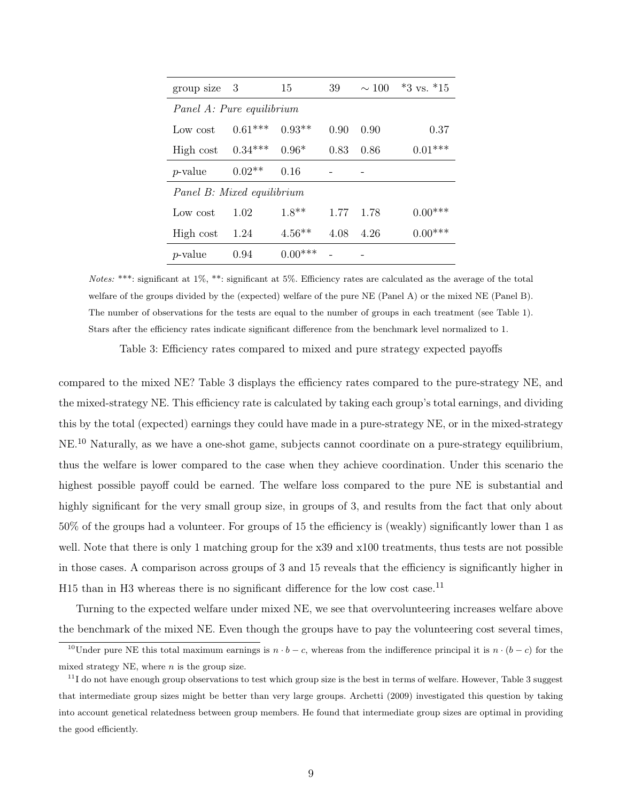| group size                 | - 3       | 15        | 39   | $\sim$ 100 | $*3$ vs. $*15$ |
|----------------------------|-----------|-----------|------|------------|----------------|
| Panel A: Pure equilibrium  |           |           |      |            |                |
| Low cost                   | $0.61***$ | $0.93**$  | 0.90 | 0.90       | 0.37           |
| High cost                  | $0.34***$ | $0.96*$   | 0.83 | 0.86       | $0.01***$      |
| <i>p</i> -value            | $0.02**$  | 0.16      |      |            |                |
| Panel B: Mixed equilibrium |           |           |      |            |                |
| Low cost                   | 1.02      | $1.8**$   | 1.77 | 1.78       | $0.00***$      |
| High cost                  | 1.24      | $4.56**$  | 4.08 | 4.26       | $0.00***$      |
| <i>p</i> -value            | 0.94      | $0.00***$ |      |            |                |

Notes: \*\*\*: significant at 1%, \*\*: significant at 5%. Efficiency rates are calculated as the average of the total welfare of the groups divided by the (expected) welfare of the pure NE (Panel A) or the mixed NE (Panel B). The number of observations for the tests are equal to the number of groups in each treatment (see Table 1). Stars after the efficiency rates indicate significant difference from the benchmark level normalized to 1.

Table 3: Efficiency rates compared to mixed and pure strategy expected payoffs

compared to the mixed NE? Table 3 displays the efficiency rates compared to the pure-strategy NE, and the mixed-strategy NE. This efficiency rate is calculated by taking each group's total earnings, and dividing this by the total (expected) earnings they could have made in a pure-strategy NE, or in the mixed-strategy NE.<sup>10</sup> Naturally, as we have a one-shot game, subjects cannot coordinate on a pure-strategy equilibrium, thus the welfare is lower compared to the case when they achieve coordination. Under this scenario the highest possible payoff could be earned. The welfare loss compared to the pure NE is substantial and highly significant for the very small group size, in groups of 3, and results from the fact that only about 50% of the groups had a volunteer. For groups of 15 the efficiency is (weakly) significantly lower than 1 as well. Note that there is only 1 matching group for the x39 and x100 treatments, thus tests are not possible in those cases. A comparison across groups of 3 and 15 reveals that the efficiency is significantly higher in  $H15$  than in H3 whereas there is no significant difference for the low cost case.<sup>11</sup>

Turning to the expected welfare under mixed NE, we see that overvolunteering increases welfare above the benchmark of the mixed NE. Even though the groups have to pay the volunteering cost several times,

<sup>&</sup>lt;sup>10</sup>Under pure NE this total maximum earnings is  $n \cdot b - c$ , whereas from the indifference principal it is  $n \cdot (b - c)$  for the mixed strategy NE, where  $n$  is the group size.

 $11$ I do not have enough group observations to test which group size is the best in terms of welfare. However, Table 3 suggest that intermediate group sizes might be better than very large groups. Archetti (2009) investigated this question by taking into account genetical relatedness between group members. He found that intermediate group sizes are optimal in providing the good efficiently.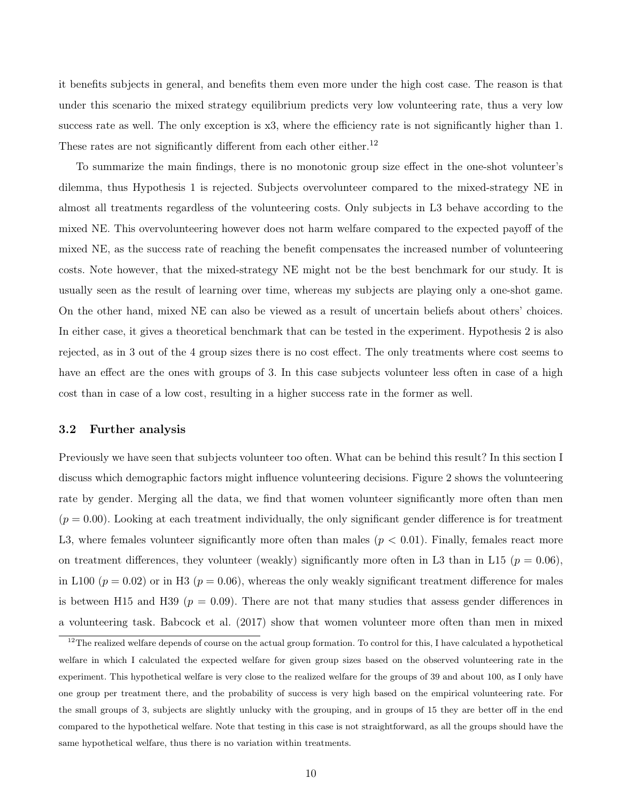it benefits subjects in general, and benefits them even more under the high cost case. The reason is that under this scenario the mixed strategy equilibrium predicts very low volunteering rate, thus a very low success rate as well. The only exception is x3, where the efficiency rate is not significantly higher than 1. These rates are not significantly different from each other either.<sup>12</sup>

To summarize the main findings, there is no monotonic group size effect in the one-shot volunteer's dilemma, thus Hypothesis 1 is rejected. Subjects overvolunteer compared to the mixed-strategy NE in almost all treatments regardless of the volunteering costs. Only subjects in L3 behave according to the mixed NE. This overvolunteering however does not harm welfare compared to the expected payoff of the mixed NE, as the success rate of reaching the benefit compensates the increased number of volunteering costs. Note however, that the mixed-strategy NE might not be the best benchmark for our study. It is usually seen as the result of learning over time, whereas my subjects are playing only a one-shot game. On the other hand, mixed NE can also be viewed as a result of uncertain beliefs about others' choices. In either case, it gives a theoretical benchmark that can be tested in the experiment. Hypothesis 2 is also rejected, as in 3 out of the 4 group sizes there is no cost effect. The only treatments where cost seems to have an effect are the ones with groups of 3. In this case subjects volunteer less often in case of a high cost than in case of a low cost, resulting in a higher success rate in the former as well.

### 3.2 Further analysis

Previously we have seen that subjects volunteer too often. What can be behind this result? In this section I discuss which demographic factors might influence volunteering decisions. Figure 2 shows the volunteering rate by gender. Merging all the data, we find that women volunteer significantly more often than men  $(p = 0.00)$ . Looking at each treatment individually, the only significant gender difference is for treatment L3, where females volunteer significantly more often than males  $(p < 0.01)$ . Finally, females react more on treatment differences, they volunteer (weakly) significantly more often in L3 than in L15 ( $p = 0.06$ ), in L100 ( $p = 0.02$ ) or in H3 ( $p = 0.06$ ), whereas the only weakly significant treatment difference for males is between H15 and H39 ( $p = 0.09$ ). There are not that many studies that assess gender differences in a volunteering task. Babcock et al. (2017) show that women volunteer more often than men in mixed

 $12$ The realized welfare depends of course on the actual group formation. To control for this, I have calculated a hypothetical welfare in which I calculated the expected welfare for given group sizes based on the observed volunteering rate in the experiment. This hypothetical welfare is very close to the realized welfare for the groups of 39 and about 100, as I only have one group per treatment there, and the probability of success is very high based on the empirical volunteering rate. For the small groups of 3, subjects are slightly unlucky with the grouping, and in groups of 15 they are better off in the end compared to the hypothetical welfare. Note that testing in this case is not straightforward, as all the groups should have the same hypothetical welfare, thus there is no variation within treatments.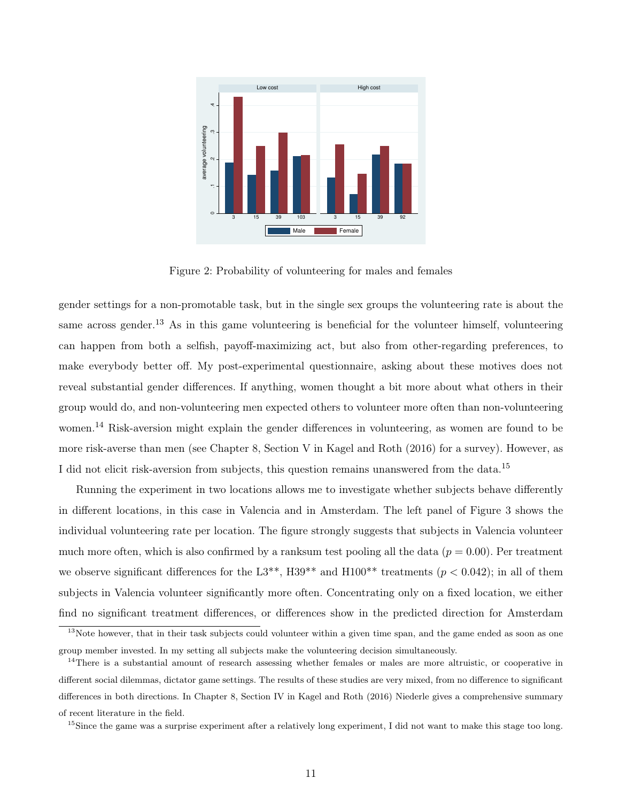

Figure 2: Probability of volunteering for males and females

gender settings for a non-promotable task, but in the single sex groups the volunteering rate is about the same across gender.<sup>13</sup> As in this game volunteering is beneficial for the volunteer himself, volunteering can happen from both a selfish, payoff-maximizing act, but also from other-regarding preferences, to make everybody better off. My post-experimental questionnaire, asking about these motives does not reveal substantial gender differences. If anything, women thought a bit more about what others in their group would do, and non-volunteering men expected others to volunteer more often than non-volunteering women.<sup>14</sup> Risk-aversion might explain the gender differences in volunteering, as women are found to be more risk-averse than men (see Chapter 8, Section V in Kagel and Roth (2016) for a survey). However, as I did not elicit risk-aversion from subjects, this question remains unanswered from the data.<sup>15</sup>

Running the experiment in two locations allows me to investigate whether subjects behave differently in different locations, in this case in Valencia and in Amsterdam. The left panel of Figure 3 shows the individual volunteering rate per location. The figure strongly suggests that subjects in Valencia volunteer much more often, which is also confirmed by a ranksum test pooling all the data  $(p = 0.00)$ . Per treatment we observe significant differences for the L3<sup>\*\*</sup>, H39<sup>\*\*</sup> and H100<sup>\*\*</sup> treatments ( $p < 0.042$ ); in all of them subjects in Valencia volunteer significantly more often. Concentrating only on a fixed location, we either find no significant treatment differences, or differences show in the predicted direction for Amsterdam

 $13$ Note however, that in their task subjects could volunteer within a given time span, and the game ended as soon as one group member invested. In my setting all subjects make the volunteering decision simultaneously.

<sup>&</sup>lt;sup>14</sup>There is a substantial amount of research assessing whether females or males are more altruistic, or cooperative in different social dilemmas, dictator game settings. The results of these studies are very mixed, from no difference to significant differences in both directions. In Chapter 8, Section IV in Kagel and Roth (2016) Niederle gives a comprehensive summary of recent literature in the field.

<sup>&</sup>lt;sup>15</sup>Since the game was a surprise experiment after a relatively long experiment, I did not want to make this stage too long.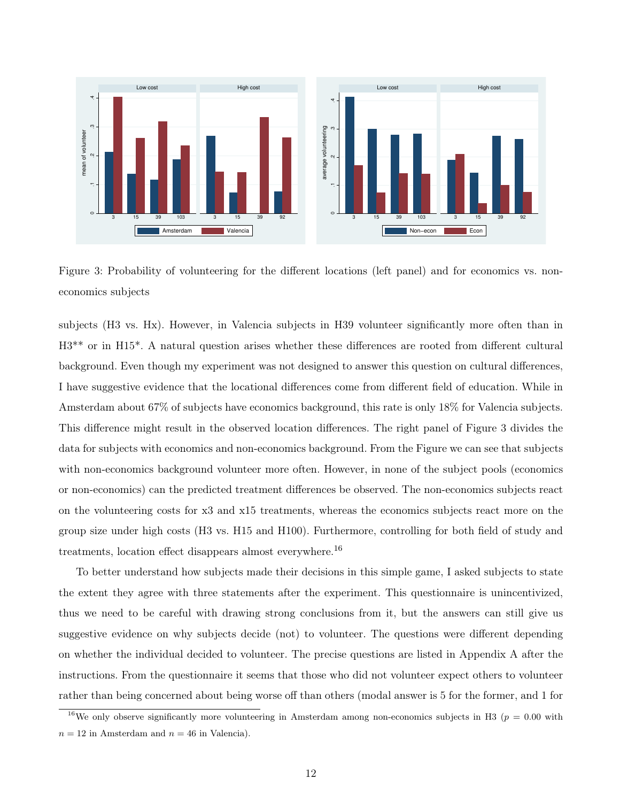

Figure 3: Probability of volunteering for the different locations (left panel) and for economics vs. noneconomics subjects

subjects (H3 vs. Hx). However, in Valencia subjects in H39 volunteer significantly more often than in H3\*\* or in H15\*. A natural question arises whether these differences are rooted from different cultural background. Even though my experiment was not designed to answer this question on cultural differences, I have suggestive evidence that the locational differences come from different field of education. While in Amsterdam about 67% of subjects have economics background, this rate is only 18% for Valencia subjects. This difference might result in the observed location differences. The right panel of Figure 3 divides the data for subjects with economics and non-economics background. From the Figure we can see that subjects with non-economics background volunteer more often. However, in none of the subject pools (economics or non-economics) can the predicted treatment differences be observed. The non-economics subjects react on the volunteering costs for x3 and x15 treatments, whereas the economics subjects react more on the group size under high costs (H3 vs. H15 and H100). Furthermore, controlling for both field of study and treatments, location effect disappears almost everywhere.<sup>16</sup>

To better understand how subjects made their decisions in this simple game, I asked subjects to state the extent they agree with three statements after the experiment. This questionnaire is unincentivized, thus we need to be careful with drawing strong conclusions from it, but the answers can still give us suggestive evidence on why subjects decide (not) to volunteer. The questions were different depending on whether the individual decided to volunteer. The precise questions are listed in Appendix A after the instructions. From the questionnaire it seems that those who did not volunteer expect others to volunteer rather than being concerned about being worse off than others (modal answer is 5 for the former, and 1 for

<sup>&</sup>lt;sup>16</sup>We only observe significantly more volunteering in Amsterdam among non-economics subjects in H3 ( $p = 0.00$  with  $n = 12$  in Amsterdam and  $n = 46$  in Valencia).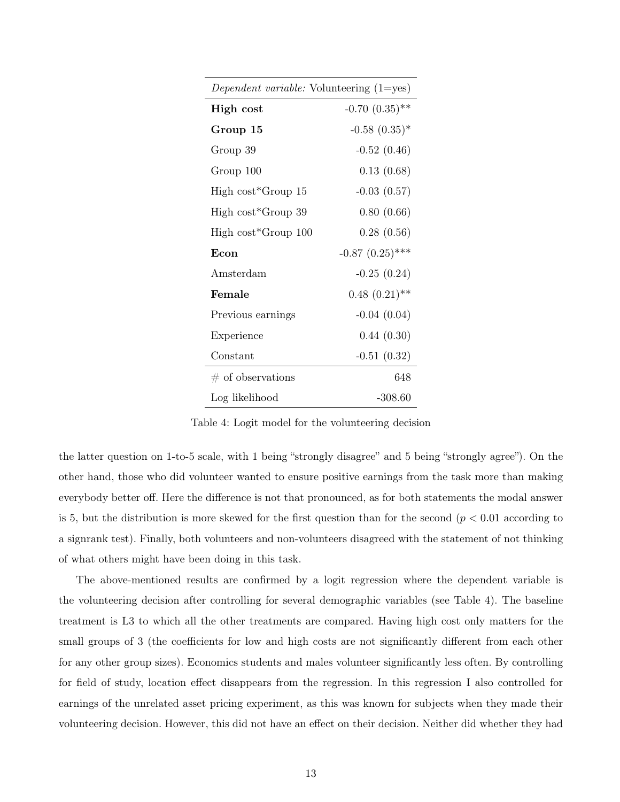| Dependent variable: Volunteering $(1 = yes)$ |                               |  |
|----------------------------------------------|-------------------------------|--|
| High cost                                    | $-0.70$ $(0.35)$ **           |  |
| Group 15                                     | $-0.58$ $(0.35)$ <sup>*</sup> |  |
| Group 39                                     | $-0.52(0.46)$                 |  |
| Group 100                                    | 0.13(0.68)                    |  |
| High $cost*Group 15$                         | $-0.03$ $(0.57)$              |  |
| High cost*Group 39                           | 0.80(0.66)                    |  |
| High $cost*Group 100$                        | 0.28(0.56)                    |  |
| Econ                                         | $-0.87$ $(0.25)$ ***          |  |
| Amsterdam                                    | $-0.25(0.24)$                 |  |
| Female                                       | $0.48~(0.21)$ **              |  |
|                                              |                               |  |
| Previous earnings                            | $-0.04(0.04)$                 |  |
| Experience                                   | 0.44(0.30)                    |  |
| Constant                                     | $-0.51(0.32)$                 |  |
| $\#$ of observations                         | 648                           |  |

Table 4: Logit model for the volunteering decision

the latter question on 1-to-5 scale, with 1 being "strongly disagree" and 5 being "strongly agree"). On the other hand, those who did volunteer wanted to ensure positive earnings from the task more than making everybody better off. Here the difference is not that pronounced, as for both statements the modal answer is 5, but the distribution is more skewed for the first question than for the second  $(p < 0.01$  according to a signrank test). Finally, both volunteers and non-volunteers disagreed with the statement of not thinking of what others might have been doing in this task.

The above-mentioned results are confirmed by a logit regression where the dependent variable is the volunteering decision after controlling for several demographic variables (see Table 4). The baseline treatment is L3 to which all the other treatments are compared. Having high cost only matters for the small groups of 3 (the coefficients for low and high costs are not significantly different from each other for any other group sizes). Economics students and males volunteer significantly less often. By controlling for field of study, location effect disappears from the regression. In this regression I also controlled for earnings of the unrelated asset pricing experiment, as this was known for subjects when they made their volunteering decision. However, this did not have an effect on their decision. Neither did whether they had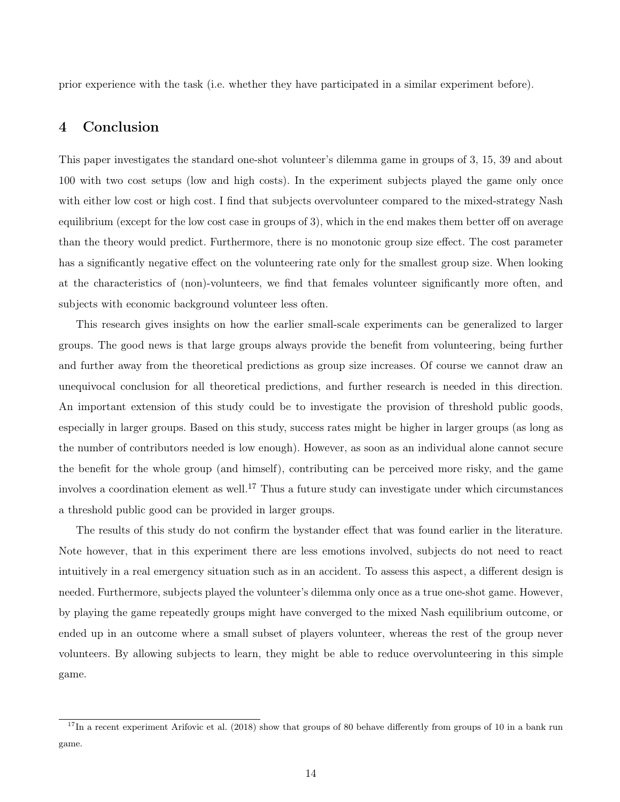prior experience with the task (i.e. whether they have participated in a similar experiment before).

## 4 Conclusion

This paper investigates the standard one-shot volunteer's dilemma game in groups of 3, 15, 39 and about 100 with two cost setups (low and high costs). In the experiment subjects played the game only once with either low cost or high cost. I find that subjects overvolunteer compared to the mixed-strategy Nash equilibrium (except for the low cost case in groups of 3), which in the end makes them better off on average than the theory would predict. Furthermore, there is no monotonic group size effect. The cost parameter has a significantly negative effect on the volunteering rate only for the smallest group size. When looking at the characteristics of (non)-volunteers, we find that females volunteer significantly more often, and subjects with economic background volunteer less often.

This research gives insights on how the earlier small-scale experiments can be generalized to larger groups. The good news is that large groups always provide the benefit from volunteering, being further and further away from the theoretical predictions as group size increases. Of course we cannot draw an unequivocal conclusion for all theoretical predictions, and further research is needed in this direction. An important extension of this study could be to investigate the provision of threshold public goods, especially in larger groups. Based on this study, success rates might be higher in larger groups (as long as the number of contributors needed is low enough). However, as soon as an individual alone cannot secure the benefit for the whole group (and himself), contributing can be perceived more risky, and the game involves a coordination element as well.<sup>17</sup> Thus a future study can investigate under which circumstances a threshold public good can be provided in larger groups.

The results of this study do not confirm the bystander effect that was found earlier in the literature. Note however, that in this experiment there are less emotions involved, subjects do not need to react intuitively in a real emergency situation such as in an accident. To assess this aspect, a different design is needed. Furthermore, subjects played the volunteer's dilemma only once as a true one-shot game. However, by playing the game repeatedly groups might have converged to the mixed Nash equilibrium outcome, or ended up in an outcome where a small subset of players volunteer, whereas the rest of the group never volunteers. By allowing subjects to learn, they might be able to reduce overvolunteering in this simple game.

 $17$ In a recent experiment Arifovic et al. (2018) show that groups of 80 behave differently from groups of 10 in a bank run game.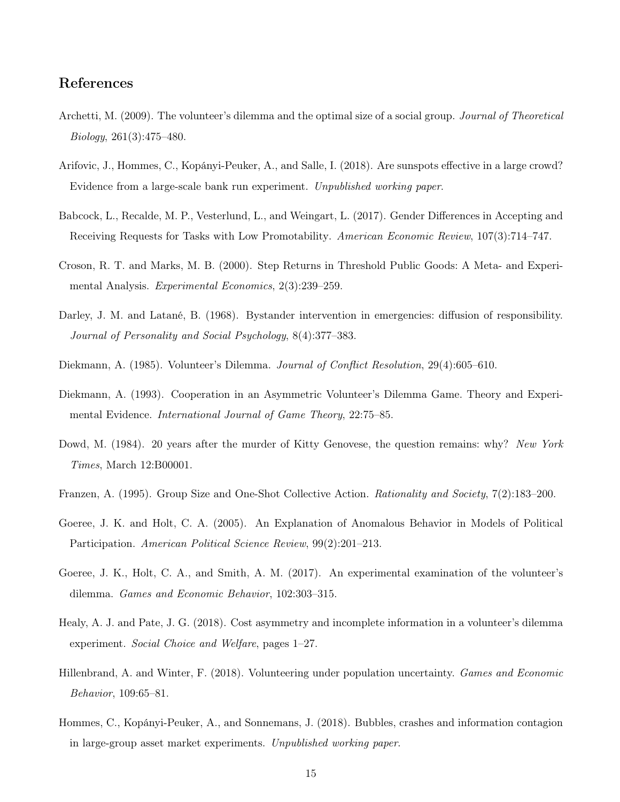## References

- Archetti, M. (2009). The volunteer's dilemma and the optimal size of a social group. *Journal of Theoretical* Biology, 261(3):475–480.
- Arifovic, J., Hommes, C., Kopányi-Peuker, A., and Salle, I. (2018). Are sunspots effective in a large crowd? Evidence from a large-scale bank run experiment. Unpublished working paper.
- Babcock, L., Recalde, M. P., Vesterlund, L., and Weingart, L. (2017). Gender Differences in Accepting and Receiving Requests for Tasks with Low Promotability. American Economic Review, 107(3):714–747.
- Croson, R. T. and Marks, M. B. (2000). Step Returns in Threshold Public Goods: A Meta- and Experimental Analysis. Experimental Economics, 2(3):239–259.
- Darley, J. M. and Latané, B. (1968). Bystander intervention in emergencies: diffusion of responsibility. Journal of Personality and Social Psychology, 8(4):377–383.
- Diekmann, A. (1985). Volunteer's Dilemma. Journal of Conflict Resolution, 29(4):605–610.
- Diekmann, A. (1993). Cooperation in an Asymmetric Volunteer's Dilemma Game. Theory and Experimental Evidence. International Journal of Game Theory, 22:75–85.
- Dowd, M. (1984). 20 years after the murder of Kitty Genovese, the question remains: why? New York Times, March 12:B00001.
- Franzen, A. (1995). Group Size and One-Shot Collective Action. Rationality and Society, 7(2):183–200.
- Goeree, J. K. and Holt, C. A. (2005). An Explanation of Anomalous Behavior in Models of Political Participation. American Political Science Review, 99(2):201–213.
- Goeree, J. K., Holt, C. A., and Smith, A. M. (2017). An experimental examination of the volunteer's dilemma. Games and Economic Behavior, 102:303–315.
- Healy, A. J. and Pate, J. G. (2018). Cost asymmetry and incomplete information in a volunteer's dilemma experiment. Social Choice and Welfare, pages 1–27.
- Hillenbrand, A. and Winter, F. (2018). Volunteering under population uncertainty. *Games and Economic* Behavior, 109:65–81.
- Hommes, C., Kopányi-Peuker, A., and Sonnemans, J. (2018). Bubbles, crashes and information contagion in large-group asset market experiments. Unpublished working paper.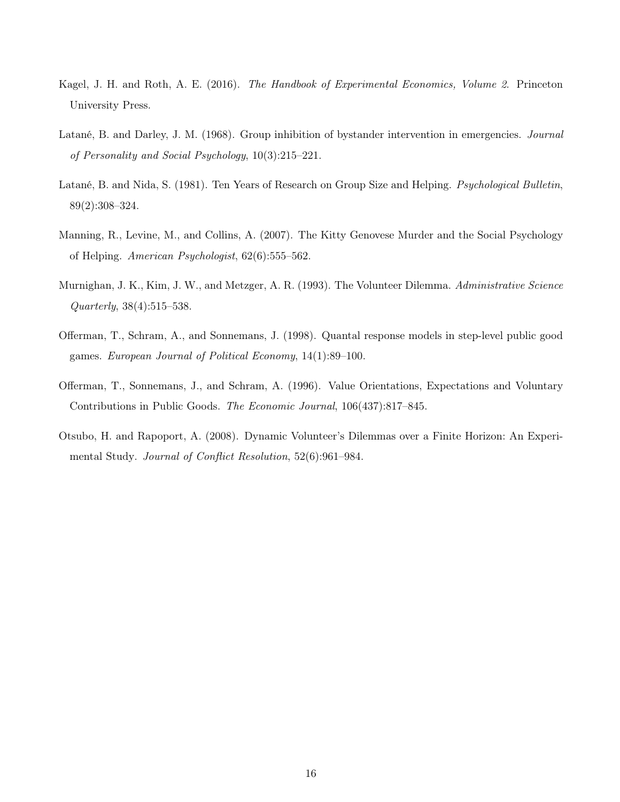- Kagel, J. H. and Roth, A. E. (2016). The Handbook of Experimental Economics, Volume 2. Princeton University Press.
- Latané, B. and Darley, J. M. (1968). Group inhibition of bystander intervention in emergencies. Journal of Personality and Social Psychology, 10(3):215–221.
- Latané, B. and Nida, S. (1981). Ten Years of Research on Group Size and Helping. Psychological Bulletin, 89(2):308–324.
- Manning, R., Levine, M., and Collins, A. (2007). The Kitty Genovese Murder and the Social Psychology of Helping. American Psychologist, 62(6):555–562.
- Murnighan, J. K., Kim, J. W., and Metzger, A. R. (1993). The Volunteer Dilemma. Administrative Science Quarterly, 38(4):515–538.
- Offerman, T., Schram, A., and Sonnemans, J. (1998). Quantal response models in step-level public good games. European Journal of Political Economy, 14(1):89–100.
- Offerman, T., Sonnemans, J., and Schram, A. (1996). Value Orientations, Expectations and Voluntary Contributions in Public Goods. The Economic Journal, 106(437):817–845.
- Otsubo, H. and Rapoport, A. (2008). Dynamic Volunteer's Dilemmas over a Finite Horizon: An Experimental Study. Journal of Conflict Resolution, 52(6):961–984.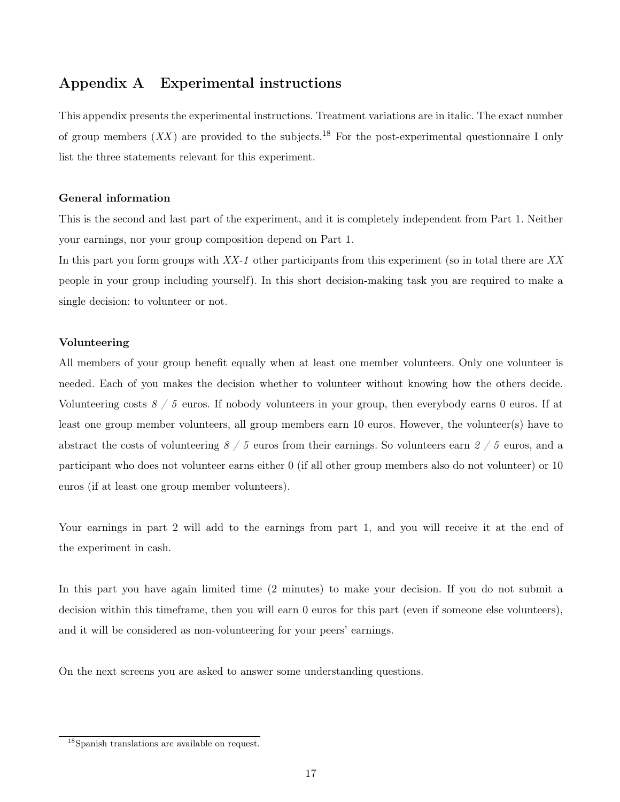## Appendix A Experimental instructions

This appendix presents the experimental instructions. Treatment variations are in italic. The exact number of group members  $(XX)$  are provided to the subjects.<sup>18</sup> For the post-experimental questionnaire I only list the three statements relevant for this experiment.

## General information

This is the second and last part of the experiment, and it is completely independent from Part 1. Neither your earnings, nor your group composition depend on Part 1.

In this part you form groups with  $XX$ -1 other participants from this experiment (so in total there are XX people in your group including yourself). In this short decision-making task you are required to make a single decision: to volunteer or not.

## Volunteering

All members of your group benefit equally when at least one member volunteers. Only one volunteer is needed. Each of you makes the decision whether to volunteer without knowing how the others decide. Volunteering costs 8 / 5 euros. If nobody volunteers in your group, then everybody earns 0 euros. If at least one group member volunteers, all group members earn 10 euros. However, the volunteer(s) have to abstract the costs of volunteering  $8 / 5$  euros from their earnings. So volunteers earn  $2 / 5$  euros, and a participant who does not volunteer earns either 0 (if all other group members also do not volunteer) or 10 euros (if at least one group member volunteers).

Your earnings in part 2 will add to the earnings from part 1, and you will receive it at the end of the experiment in cash.

In this part you have again limited time (2 minutes) to make your decision. If you do not submit a decision within this timeframe, then you will earn 0 euros for this part (even if someone else volunteers), and it will be considered as non-volunteering for your peers' earnings.

On the next screens you are asked to answer some understanding questions.

<sup>&</sup>lt;sup>18</sup>Spanish translations are available on request.